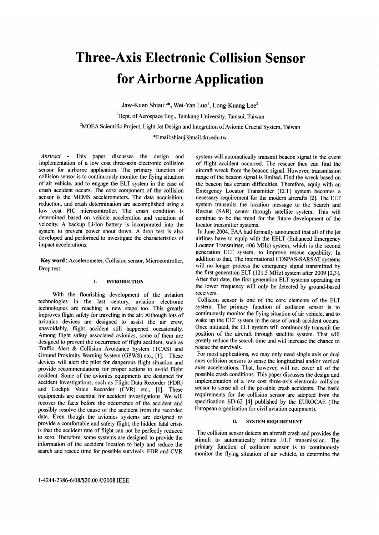# Three-Axis Electronic Collision Sensor for Airborne Application

Jaw-Kuen Shiau<sup>1,\*</sup>, Wei-Yan Luo<sup>1</sup>, Long-Kuang Lee<sup>2</sup>

<sup>1</sup>Dept. of Aerospace Eng., Tamkang University, Tamsui, Taiwan

<sup>2</sup>MOEA Scientific Project, Light Jet Design and Integration of Avionic Crucial System, Taiwan

\*Email:shiauj@mail.tku.edu.tw

Abstract - This paper discusses the design and implementation of a low cost three-axis electronic collision sensor for airborne application. The primary function of collision sensor is to continuously monitor the flying situation of air vehicle, and to engage the ELT system in the case of crash accident occurs. The core component of the collision sensor is the MEMS accelerometers. The data acquisition, reduction, and crash determination are accomplished using a low cost PIC microcontroller. The crash condition is determined based on vehicle acceleration and variation of velocity. A backup Li-Ion battery is incorporated into the system to prevent power shout down. A drop test is also developed and performed to investigate the characteristics of impact accelerations.

Key word: Accelerometer, Collision sensor, Microcontroller, Drop test

# I. INTRODUCTION

With the flourishing development of the aviation technologies in the last century, aviation electronic technologies are reaching a new stage too. This greatly improves flight safety for traveling in the air. Although lots of avionics devices are designed to assist the air crew, unavoidably, flight accident still happened occasionally. Among flight safety associated avionics, some of them are designed to prevent the occurrence of flight accident, such as Traffic Alert & Collision Avoidance System (TCAS) and Ground Proximity Warning System (GPWS) etc., [1]. These devices will alert the pilot for dangerous flight situation and provide recommendations for proper actions to avoid flight accident. Some of the avionics equipments are designed for accident investigations, such as Flight Data Recorder (FDR) and Cockpit Voice Recorder (CVR) etc., [1]. These equipments are essential for accident investigations. We will recover the facts before the occurrence of the accident and possibly resolve the cause of the accident from the recorded data. Even though the avionics systems are designed to provide a comfortable and safety flight, the hidden fatal crisis is that the accident rate of flight can not be perfectly reduced to zero. Therefore, some systems are designed to provide the information of the accident location to help and reduce the search and rescue time for possible survivals. FDR and CVR

system will automatically transmit beacon signal in the event of flight accident occurred. The rescuer then can find the aircraft wreck from the beacon signal. However, transmission range of the beacon signal is limited. Find the wreck based on the beacon has certain difficulties. Therefore, equip with an Emergency Locator Transmitter (ELT) system becomes a necessary requirement for the modern aircrafts [2]. The ELT system transmits the location message to the Search and Rescue (SAR) center through satellite system. This will continue to be the trend for the future development of the locator transmitter systems.

In June 2004, FAA had formally announced that all of the jet airlines have to equip with the EELT (Enhanced Emergency Locator Transmitter, 406 MHz) system, which is the second generation ELT system, to improve rescue capability. In addition to that, The international COSPAS-SARSAT systems will no longer process the emergency signal transmitted by the first generation ELT (121.5 MHz) system after 2009 [2,3]. After that date, the first generation ELT systems operating on the lower frequency will only be detected by ground-based receivers.

Collision sensor is one of the core elements of the ELT system. The primary function of collision sensor is to continuously monitor the flying situation of air vehicle, and to wake up the ELT system in the case of crash accident occurs. Once initiated, the ELT system will continuously transmit the position of the aircraft through satellite system. That will greatly reduce the search time and will increase the chance to rescue the survivals.

For most applications, we may only need single axis or dual axes collision sensors to sense the longitudinal and/or vertical axes accelerations. That, however, will not cover all of the possible crash conditions. This paper discusses the design and implementation of a low cost three-axis electronic collision sensor to sense all of the possible crash accidents. The basic requirements for the collision sensor are adopted from the specification ED-62 [4] published by the EUROCAE (The European organization for civil aviation equipment).

# IL SYSTEM REQUIREMENT

The collision sensor detects an aircraft crash and provides the stimuli to automatically initiate ELT transmission. The primary function of collision sensor is to continuously monitor the flying situation of air vehicle, to determine the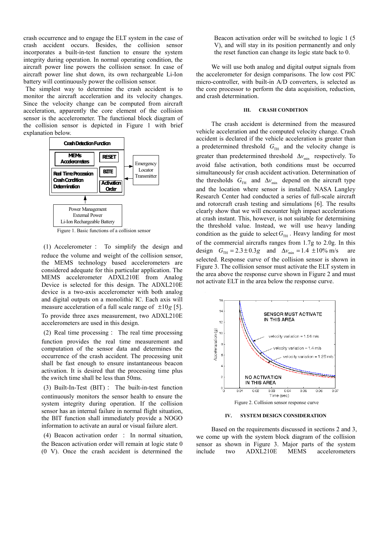crash occurrence and to engage the ELT system in the case of crash accident occurs. Besides, the collision sensor incorporates a built-in-test function to ensure the system integrity during operation. In normal operating condition, the aircraft power line powers the collision sensor. In case of aircraft power line shut down, its own rechargeable Li-Ion battery will continuously power the collision sensor.

The simplest way to determine the crash accident is to monitor the aircraft acceleration and its velocity changes. Since the velocity change can be computed from aircraft acceleration, apparently the core element of the collision sensor is the accelerometer. The functional block diagram of the collision sensor is depicted in Figure 1 with brief explanation below.



Figure 1. Basic functions of a collision sensor

(1) Accelerometer : To simplify the design and reduce the volume and weight of the collision sensor, the MEMS technology based accelerometers are considered adequate for this particular application. The MEMS accelerometer ADXL210E from Analog Device is selected for this design. The ADXL210E device is a two-axis accelerometer with both analog and digital outputs on a monolithic IC. Each axis will measure acceleration of a full scale range of ±10*g* [5]. To provide three axes measurement, two ADXL210E accelerometers are used in this design.

(2) Real time processing: The real time processing function provides the real time measurement and computation of the sensor data and determines the occurrence of the crash accident. The processing unit shall be fast enough to ensure instantaneous beacon activation. It is desired that the processing time plus the switch time shall be less than 50ms.

(3) Built-In-Test (BIT): The built-in-test function continuously monitors the sensor health to ensure the system integrity during operation. If the collision sensor has an internal failure in normal flight situation, the BIT function shall immediately provide a NOGO information to activate an aural or visual failure alert.

(4) Beacon activation order : In normal situation, the Beacon activation order will remain at logic state 0 (0 V). Once the crash accident is determined the Beacon activation order will be switched to logic 1 (5 V), and will stay in its position permanently and only the reset function can change its logic state back to 0.

We will use both analog and digital output signals from the accelerometer for design comparisons. The low cost PIC micro-controller, with built-in A/D converters, is selected as the core processor to perform the data acquisition, reduction, and crash determination.

# **III. CRASH CONDITION**

The crash accident is determined from the measured vehicle acceleration and the computed velocity change. Crash accident is declared if the vehicle acceleration is greater than a predetermined threshold  $G<sub>TH</sub>$  and the velocity change is greater than predetermined threshold  $\Delta v_{\text{min}}$  respectively. To avoid false activation, both conditions must be occurred simultaneously for crash accident activation. Determination of the thresholds  $G_{TH}$  and  $\Delta v_{min}$  depend on the aircraft type and the location where sensor is installed. NASA Langley Research Center had conducted a series of full-scale aircraft and rotorcraft crash testing and simulations [6]. The results clearly show that we will encounter high impact accelerations at crash instant. This, however, is not suitable for determining the threshold value. Instead, we will use heavy landing condition as the guide to select  $G<sub>TH</sub>$ . Heavy landing for most of the commercial aircrafts ranges from 1.7g to 2.0g. In this design  $G_{TH} = 2.3 \pm 0.3g$  and  $\Delta v_{min} = 1.4 \pm 10\%$  m/s are selected. Response curve of the collision sensor is shown in Figure 3. The collision sensor must activate the ELT system in the area above the response curve shown in Figure 2 and must not activate ELT in the area below the response curve.



**IV. SYSTEM DESIGN CONSIDERATION** 

Based on the requirements discussed in sections 2 and 3, we come up with the system block diagram of the collision sensor as shown in Figure 3. Major parts of the system include two ADXL210E MEMS accelerometers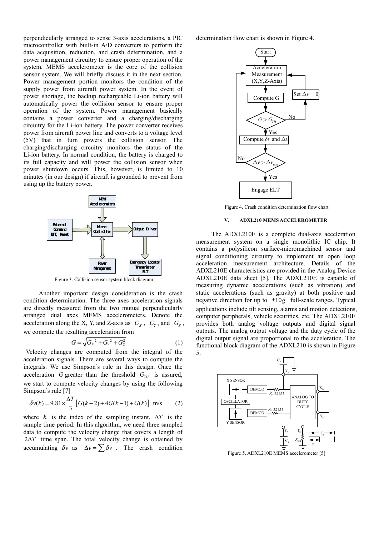perpendicularly arranged to sense 3-axis accelerations, a PIC microcontroller with built-in A/D converters to perform the data acquisition, reduction, and crash determination, and a power management circuitry to ensure proper operation of the system. MEMS accelerometer is the core of the collision sensor system. We will briefly discuss it in the next section. Power management portion monitors the condition of the supply power from aircraft power system. In the event of power shortage, the backup rechargeable Li-ion battery will automatically power the collision sensor to ensure proper operation of the system. Power management basically contains a power converter and a charging/discharging circuitry for the Li-ion battery. The power converter receives power from aircraft power line and converts to a voltage level (5V) that in turn powers the collision sensor. The charging/discharging circuitry monitors the status of the Li-ion battery. In normal condition, the battery is charged to its full capacity and will power the collision sensor when power shutdown occurs. This, however, is limited to 10 minutes (in our design) if aircraft is grounded to prevent from using up the battery power.



Figure 3. Collision sensor system block diagram

Another important design consideration is the crash condition determination. The three axes acceleration signals are directly measured from the two mutual perpendicularly arranged dual axes MEMS accelerometers. Denote the acceleration along the X, Y, and Z-axis as  $G_X$ ,  $G_Y$ , and  $G_Z$ , we compute the resulting acceleration from

$$
G = \sqrt{{G_X}^2 + {G_Y}^2 + {G_Z}^2}
$$
 (1)

Velocity changes are computed from the integral of the acceleration signals. There are several ways to compute the integrals. We use Simpson's rule in this design. Once the acceleration *G* greater than the threshold  $G_{TH}$  is assured, we start to compute velocity changes by using the following Simpson's rule [7]

$$
\delta v(k) = 9.81 \times \frac{\Delta T}{3} \left[ G(k-2) + 4G(k-1) + G(k) \right] \text{ m/s} \tag{2}
$$

where  $k$  is the index of the sampling instant,  $\Delta T$  is the sample time period. In this algorithm, we need three sampled data to compute the velocity change that covers a length of 2Δ*T* time span. The total velocity change is obtained by accumulating  $\delta v$  as  $\Delta v = \sum \delta v$ . The crash condition

determination flow chart is shown in Figure 4.



Figure 4. Crash condition determination flow chart

# **V. ADXL210 MEMS ACCELEROMETER**

 The ADXL210E is a complete dual-axis acceleration measurement system on a single monolithic IC chip. It contains a polysilicon surface-micromachined sensor and signal conditioning circuitry to implement an open loop acceleration measurement architecture. Details of the ADXL210E characteristics are provided in the Analog Device ADXL210E data sheet [5]. The ADXL210E is capable of measuring dynamic accelerations (such as vibration) and static accelerations (such as gravity) at both positive and negative direction for up to ±10*g* full-scale ranges. Typical applications include tilt sensing, alarms and motion detections, computer peripherals, vehicle securities, etc. The ADXL210E provides both analog voltage outputs and digital signal outputs. The analog output voltage and the duty cycle of the digital output signal are proportional to the acceleration. The functional block diagram of the ADXL210 is shown in Figure 5.



Figure 5. ADXL210E MEMS accelerometer [5]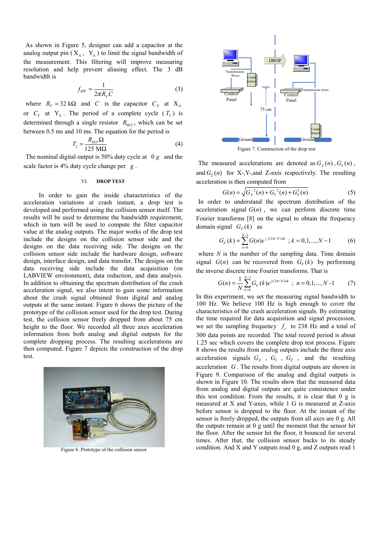As shown in Figure 5, designer can add a capacitor at the analog output pin  $(X_A, Y_A)$  to limit the signal bandwidth of the measurement. This filtering will improve measuring resolution and help prevent aliasing effect. The 3 dB bandwidth is

$$
f_{BW} = \frac{1}{2\pi R_F C} \tag{3}
$$

where  $R_F = 32 \text{ k}\Omega$  and *C* is the capacitor  $C_X$  at  $X_A$ or  $C_Y$  at  $Y_A$ . The period of a complete cycle  $(T_2)$  is determined through a single resistor  $R_{\text{SET}}$ , which can be set between 0.5 ms and 10 ms. The equation for the period is

$$
T_2 = \frac{R_{\rm SET}\Omega}{125 \text{ M}\Omega} \tag{4}
$$

The nominal digital output is 50% duty cycle at 0 *g* and the scale factor is 4% duty cycle change per *g* .

#### VI. **DROP TEST**

In order to gain the inside characteristics of the acceleration variations at crash instant, a drop test is developed and performed using the collision sensor itself. The results will be used to determine the bandwidth requirement, which in turn will be used to compute the filter capacitor value at the analog outputs. The major works of the drop test include the designs on the collision sensor side and the designs on the data receiving side. The designs on the collision sensor side include the hardware design, software design, interface design, and data transfer. The designs on the data receiving side include the data acquisition (on LABVIEW environment), data reduction, and data analysis. In addition to obtaining the spectrum distribution of the crash acceleration signal, we also intent to gain some information about the crash signal obtained from digital and analog outputs at the same instant. Figure 6 shows the picture of the prototype of the collision sensor used for the drop test. During test, the collision sensor freely dropped from about 75 cm height to the floor. We recorded all three axes acceleration information from both analog and digital outputs for the complete dropping process. The resulting accelerations are then computed. Figure 7 depicts the construction of the drop test.



Figure 6. Prototype of the collision sensor



Figure 7. Construction of the drop test

The measured accelerations are denoted as  $G_Y(n)$ ,  $G_Y(n)$ , and  $G_7(n)$  for X-, Y-, and Z-axis respectively. The resulting acceleration is then computed from

$$
G(n) = \sqrt{G_X^{2}(n) + G_Y^{2}(n) + G_Z^{2}(n)}
$$
 (5)

In order to understand the spectrum distribution of the acceleration signal  $G(n)$ , we can perform discrete time Fourier transforms [8] on the signal to obtain the frequency domain signal  $G_F(k)$  as

$$
G_F(k) = \sum_{n=0}^{N-1} G(n) e^{-j(2\pi/N)nk} \; ; \; k = 0, 1, ..., N-1 \tag{6}
$$

where  $N$  is the number of the sampling data. Time domain signal  $G(n)$  can be recovered from  $G_F(k)$  by performing the inverse discrete time Fourier transforms. That is

$$
G(n) = \frac{1}{N} \sum_{k=0}^{N-1} G_F(k) e^{j(2\pi/N)nk} \; ; \; n = 0, 1, ..., N-1 \qquad (7)
$$

In this experiment, we set the measuring signal bandwidth to 100 Hz. We believe 100 Hz is high enough to cover the characteristics of the crash acceleration signals. By estimating the time required for data acquisition and signal procession, we set the sampling frequency  $f<sub>s</sub>$  to 238 Hz and a total of 300 data points are recorded. The total record period is about 1.25 sec which covers the complete drop test process. Figure 8 shows the results from analog outputs include the three axis acceleration signals  $G_X$ ,  $G_Y$ ,  $G_Z$ , and the resulting acceleration *G* . The results from digital outputs are shown in Figure 9. Comparison of the analog and digital outputs is shown in Figure 10. The results show that the measured data from analog and digital outputs are quite consistence under this test condition. From the results, it is clear that 0 g is measured at X and Y-axes, while 1 G is measured at Z-axis before sensor is dropped to the floor. At the instant of the sensor is freely dropped, the outputs from all axes are 0 g. All the outputs remain at 0 g until the moment that the sensor hit the floor. After the sensor hit the floor, it bounced for several times. After that, the collision sensor backs to its steady condition. And X and Y outputs read 0 g, and Z outputs read 1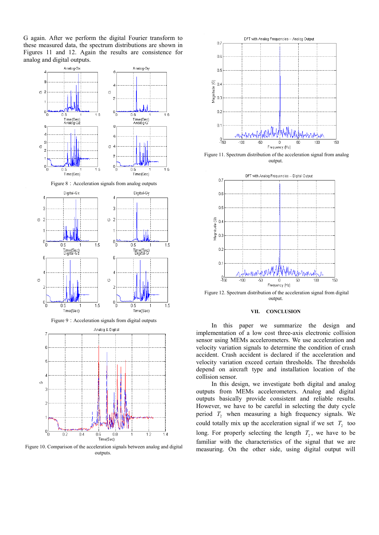G again. After we perform the digital Fourier transform to these measured data, the spectrum distributions are shown in Figures 11 and 12. Again the results are consistence for analog and digital outputs.





Figure 9: Acceleration signals from digital outputs



Figure 10. Comparison of the acceleration signals between analog and digital outputs.



Figure 11. Spectrum distribution of the acceleration signal from analog output.



Figure 12. Spectrum distribution of the acceleration signal from digital output.

#### **VII. CONCLUSION**

In this paper we summarize the design and implementation of a low cost three-axis electronic collision sensor using MEMs accelerometers. We use acceleration and velocity variation signals to determine the condition of crash accident. Crash accident is declared if the acceleration and velocity variation exceed certain thresholds. The thresholds depend on aircraft type and installation location of the collision sensor.

In this design, we investigate both digital and analog outputs from MEMs accelerometers. Analog and digital outputs basically provide consistent and reliable results. However, we have to be careful in selecting the duty cycle period  $T_2$  when measuring a high frequency signals. We could totally mix up the acceleration signal if we set  $T_2$  too long. For properly selecting the length  $T_2$ , we have to be familiar with the characteristics of the signal that we are measuring. On the other side, using digital output will